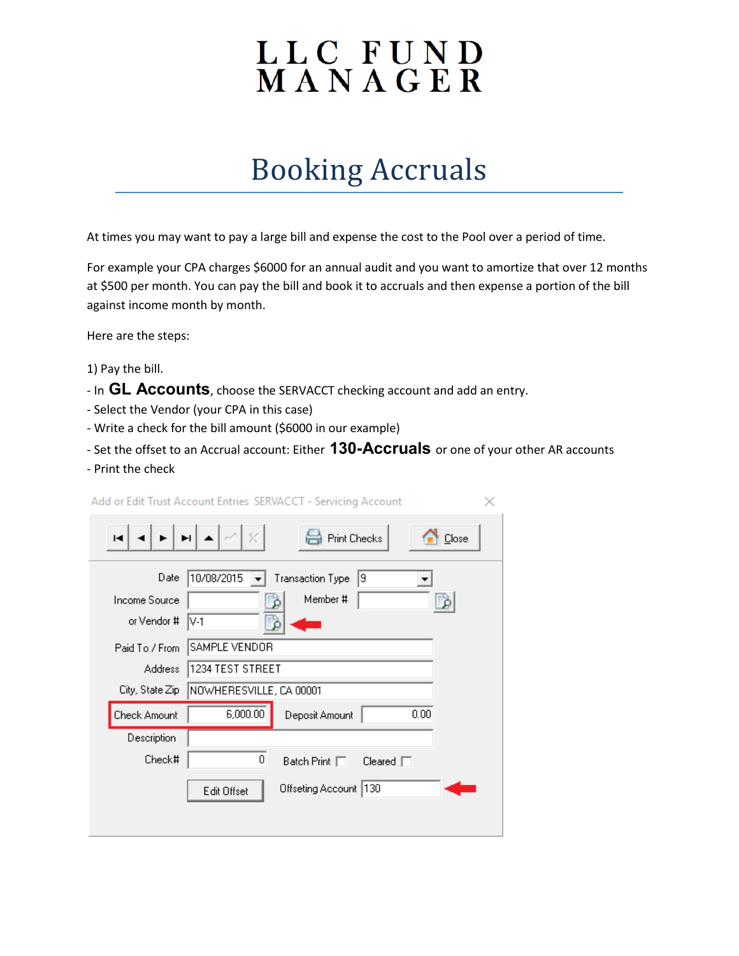## LLC FUND<br>MANAGER

## Booking Accruals

At times you may want to pay a large bill and expense the cost to the Pool over a period of time.

For example your CPA charges \$6000 for an annual audit and you want to amortize that over 12 months at \$500 per month. You can pay the bill and book it to accruals and then expense a portion of the bill against income month by month.

Here are the steps:

- 1) Pay the bill.
- In **GL Accounts**, choose the SERVACCT checking account and add an entry.
- Select the Vendor (your CPA in this case)
- Write a check for the bill amount (\$6000 in our example)
- Set the offset to an Accrual account: Either **130-Accruals** or one of your other AR accounts
- Print the check

|                 | Add or Edit Trust Account Entries SERVACCT - Servicing Account |                         |         |       |  |  |
|-----------------|----------------------------------------------------------------|-------------------------|---------|-------|--|--|
| ы               | $ \mathcal{Q}  \otimes$<br>EILA                                | <b>Print Checks</b>     |         | Close |  |  |
| Date            | 10/08/2015                                                     | <b>Transaction Type</b> | 9       |       |  |  |
| Income Source   |                                                                | Member #                |         |       |  |  |
| or Vendor #     | IV-1                                                           |                         |         |       |  |  |
| Paid To / From  | SAMPLE VENDOR                                                  |                         |         |       |  |  |
| <b>Address</b>  | 1234 TEST STREET                                               |                         |         |       |  |  |
| City, State Zip | NOWHERESVILLE, CA 00001                                        |                         |         |       |  |  |
| Check Amount    | 6,000.00                                                       | Deposit Amount          | 0.00    |       |  |  |
| Description     |                                                                |                         |         |       |  |  |
| Check#          | 0                                                              | Batch Print $\Box$      | Cleared |       |  |  |
|                 | Edit Offset                                                    | Offseting Account   130 |         |       |  |  |
|                 |                                                                |                         |         |       |  |  |